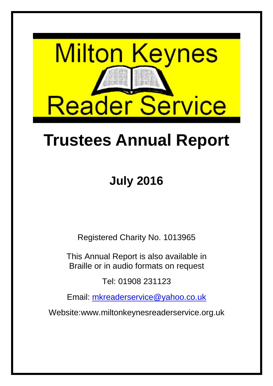

# **Trustees Annual Report**

## **July 2016**

Registered Charity No. 1013965

This Annual Report is also available in Braille or in audio formats on request

Tel: 01908 231123

Email: mkreaderservice@yahoo.co.uk

Website:www.miltonkeynesreaderservice.org.uk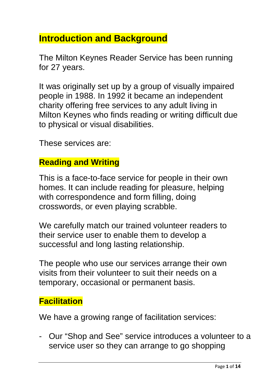## **Introduction and Background**

The Milton Keynes Reader Service has been running for 27 years.

It was originally set up by a group of visually impaired people in 1988. In 1992 it became an independent charity offering free services to any adult living in Milton Keynes who finds reading or writing difficult due to physical or visual disabilities.

These services are:

#### **Reading and Writing**

This is a face-to-face service for people in their own homes. It can include reading for pleasure, helping with correspondence and form filling, doing crosswords, or even playing scrabble.

We carefully match our trained volunteer readers to their service user to enable them to develop a successful and long lasting relationship.

The people who use our services arrange their own visits from their volunteer to suit their needs on a temporary, occasional or permanent basis.

#### **Facilitation**

We have a growing range of facilitation services:

- Our "Shop and See" service introduces a volunteer to a service user so they can arrange to go shopping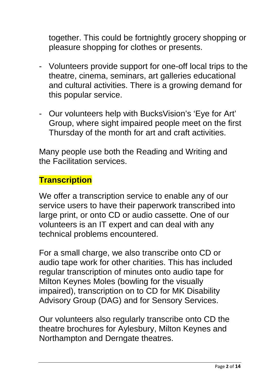together. This could be fortnightly grocery shopping or pleasure shopping for clothes or presents.

- Volunteers provide support for one-off local trips to the theatre, cinema, seminars, art galleries educational and cultural activities. There is a growing demand for this popular service.
- Our volunteers help with BucksVision's 'Eye for Art' Group, where sight impaired people meet on the first Thursday of the month for art and craft activities.

Many people use both the Reading and Writing and the Facilitation services.

#### **Transcription**

We offer a transcription service to enable any of our service users to have their paperwork transcribed into large print, or onto CD or audio cassette. One of our volunteers is an IT expert and can deal with any technical problems encountered.

For a small charge, we also transcribe onto CD or audio tape work for other charities. This has included regular transcription of minutes onto audio tape for Milton Keynes Moles (bowling for the visually impaired), transcription on to CD for MK Disability Advisory Group (DAG) and for Sensory Services.

Our volunteers also regularly transcribe onto CD the theatre brochures for Aylesbury, Milton Keynes and Northampton and Derngate theatres.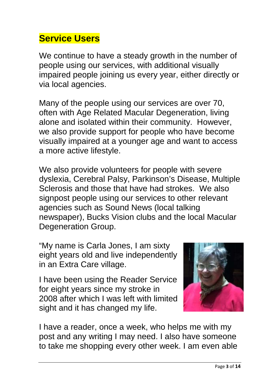## **Service Users**

We continue to have a steady growth in the number of people using our services, with additional visually impaired people joining us every year, either directly or via local agencies.

Many of the people using our services are over 70, often with Age Related Macular Degeneration, living alone and isolated within their community. However, we also provide support for people who have become visually impaired at a younger age and want to access a more active lifestyle.

We also provide volunteers for people with severe dyslexia, Cerebral Palsy, Parkinson's Disease, Multiple Sclerosis and those that have had strokes. We also signpost people using our services to other relevant agencies such as Sound News (local talking newspaper), Bucks Vision clubs and the local Macular Degeneration Group.

"My name is Carla Jones, I am sixty eight years old and live independently in an Extra Care village.

I have been using the Reader Service for eight years since my stroke in 2008 after which I was left with limited sight and it has changed my life.



I have a reader, once a week, who helps me with my post and any writing I may need. I also have someone to take me shopping every other week. I am even able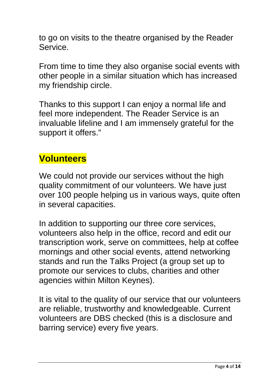to go on visits to the theatre organised by the Reader Service.

From time to time they also organise social events with other people in a similar situation which has increased my friendship circle.

Thanks to this support I can enjoy a normal life and feel more independent. The Reader Service is an invaluable lifeline and I am immensely grateful for the support it offers."

## **Volunteers**

We could not provide our services without the high quality commitment of our volunteers. We have just over 100 people helping us in various ways, quite often in several capacities.

In addition to supporting our three core services, volunteers also help in the office, record and edit our transcription work, serve on committees, help at coffee mornings and other social events, attend networking stands and run the Talks Project (a group set up to promote our services to clubs, charities and other agencies within Milton Keynes).

It is vital to the quality of our service that our volunteers are reliable, trustworthy and knowledgeable. Current volunteers are DBS checked (this is a disclosure and barring service) every five years.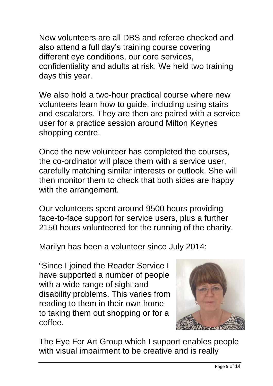New volunteers are all DBS and referee checked and also attend a full day's training course covering different eye conditions, our core services, confidentiality and adults at risk. We held two training days this year.

We also hold a two-hour practical course where new volunteers learn how to guide, including using stairs and escalators. They are then are paired with a service user for a practice session around Milton Keynes shopping centre.

Once the new volunteer has completed the courses, the co-ordinator will place them with a service user, carefully matching similar interests or outlook. She will then monitor them to check that both sides are happy with the arrangement.

Our volunteers spent around 9500 hours providing face-to-face support for service users, plus a further 2150 hours volunteered for the running of the charity.

Marilyn has been a volunteer since July 2014:

"Since I joined the Reader Service I have supported a number of people with a wide range of sight and disability problems. This varies from reading to them in their own home to taking them out shopping or for a coffee.



The Eye For Art Group which I support enables people with visual impairment to be creative and is really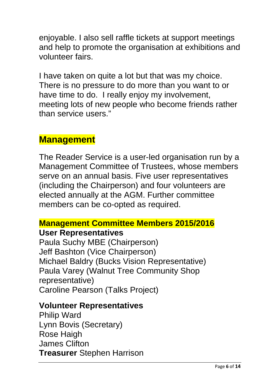enjoyable. I also sell raffle tickets at support meetings and help to promote the organisation at exhibitions and volunteer fairs.

I have taken on quite a lot but that was my choice. There is no pressure to do more than you want to or have time to do. I really enjoy my involvement, meeting lots of new people who become friends rather than service users."

#### **Management**

The Reader Service is a user-led organisation run by a Management Committee of Trustees, whose members serve on an annual basis. Five user representatives (including the Chairperson) and four volunteers are elected annually at the AGM. Further committee members can be co-opted as required.

## **Management Committee Members 2015/2016**

#### **User Representatives**

Paula Suchy MBE (Chairperson) Jeff Bashton (Vice Chairperson) Michael Baldry (Bucks Vision Representative) Paula Varey (Walnut Tree Community Shop representative) Caroline Pearson (Talks Project)

#### **Volunteer Representatives**

Philip Ward Lynn Bovis (Secretary) Rose Haigh James Clifton **Treasurer** Stephen Harrison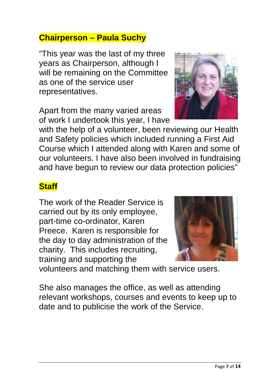#### **Chairperson – Paula Suchy**

"This year was the last of my three years as Chairperson, although I will be remaining on the Committee as one of the service user representatives.

Apart from the many varied areas of work I undertook this year, I have

with the help of a volunteer, been reviewing our Health and Safety policies which included running a First Aid Course which I attended along with Karen and some of our volunteers. I have also been involved in fundraising and have begun to review our data protection policies"

## **Staff**

The work of the Reader Service is carried out by its only employee, part-time co-ordinator, Karen Preece. Karen is responsible for the day to day administration of the charity. This includes recruiting, training and supporting the

volunteers and matching them with service users.

She also manages the office, as well as attending relevant workshops, courses and events to keep up to date and to publicise the work of the Service.



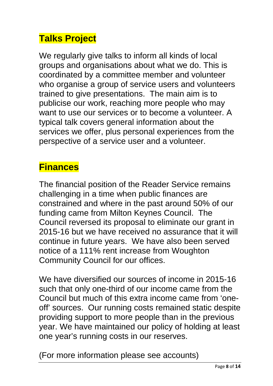## **Talks Project**

We regularly give talks to inform all kinds of local groups and organisations about what we do. This is coordinated by a committee member and volunteer who organise a group of service users and volunteers trained to give presentations. The main aim is to publicise our work, reaching more people who may want to use our services or to become a volunteer. A typical talk covers general information about the services we offer, plus personal experiences from the perspective of a service user and a volunteer.

## **Finances**

The financial position of the Reader Service remains challenging in a time when public finances are constrained and where in the past around 50% of our funding came from Milton Keynes Council. The Council reversed its proposal to eliminate our grant in 2015-16 but we have received no assurance that it will continue in future years. We have also been served notice of a 111% rent increase from Woughton Community Council for our offices.

We have diversified our sources of income in 2015-16 such that only one-third of our income came from the Council but much of this extra income came from 'oneoff' sources. Our running costs remained static despite providing support to more people than in the previous year. We have maintained our policy of holding at least one year's running costs in our reserves.

(For more information please see accounts)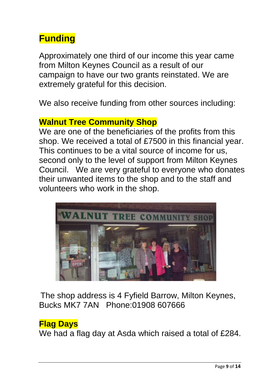## **Funding**

Approximately one third of our income this year came from Milton Keynes Council as a result of our campaign to have our two grants reinstated. We are extremely grateful for this decision.

We also receive funding from other sources including:

#### **Walnut Tree Community Shop**

We are one of the beneficiaries of the profits from this shop. We received a total of £7500 in this financial year. This continues to be a vital source of income for us, second only to the level of support from Milton Keynes Council. We are very grateful to everyone who donates their unwanted items to the shop and to the staff and volunteers who work in the shop.



The shop address is 4 Fyfield Barrow, Milton Keynes, Bucks MK7 7AN Phone:01908 607666

#### **Flag Days**

We had a flag day at Asda which raised a total of £284.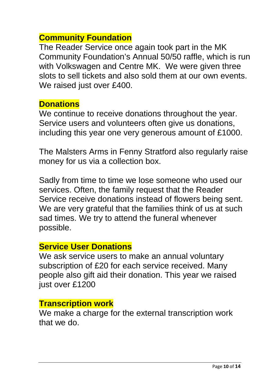#### **Community Foundation**

The Reader Service once again took part in the MK Community Foundation's Annual 50/50 raffle, which is run with Volkswagen and Centre MK. We were given three slots to sell tickets and also sold them at our own events. We raised just over £400.

#### **Donations**

We continue to receive donations throughout the year. Service users and volunteers often give us donations, including this year one very generous amount of £1000.

The Malsters Arms in Fenny Stratford also regularly raise money for us via a collection box.

Sadly from time to time we lose someone who used our services. Often, the family request that the Reader Service receive donations instead of flowers being sent. We are very grateful that the families think of us at such sad times. We try to attend the funeral whenever possible.

#### **Service User Donations**

We ask service users to make an annual voluntary subscription of £20 for each service received. Many people also gift aid their donation. This year we raised just over £1200

#### **Transcription work**

We make a charge for the external transcription work that we do.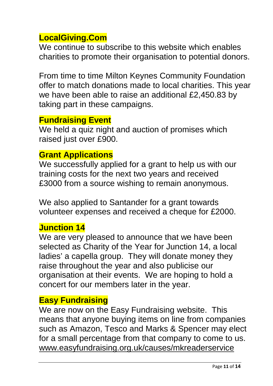#### **LocalGiving.Com**

We continue to subscribe to this website which enables charities to promote their organisation to potential donors.

From time to time Milton Keynes Community Foundation offer to match donations made to local charities. This year we have been able to raise an additional £2,450.83 by taking part in these campaigns.

#### **Fundraising Event**

We held a quiz night and auction of promises which raised just over £900.

#### **Grant Applications**

We successfully applied for a grant to help us with our training costs for the next two years and received £3000 from a source wishing to remain anonymous.

We also applied to Santander for a grant towards volunteer expenses and received a cheque for £2000.

#### **Junction 14**

We are very pleased to announce that we have been selected as Charity of the Year for Junction 14, a local ladies' a capella group. They will donate money they raise throughout the year and also publicise our organisation at their events. We are hoping to hold a concert for our members later in the year.

#### **Easy Fundraising**

We are now on the Easy Fundraising website. This means that anyone buying items on line from companies such as Amazon, Tesco and Marks & Spencer may elect for a small percentage from that company to come to us. www.easyfundraising.org.uk/causes/mkreaderservice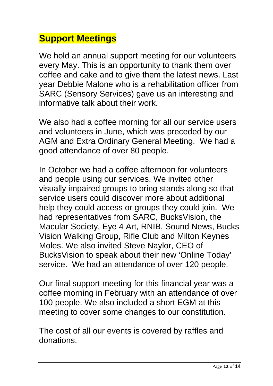## **Support Meetings**

We hold an annual support meeting for our volunteers every May. This is an opportunity to thank them over coffee and cake and to give them the latest news. Last year Debbie Malone who is a rehabilitation officer from SARC (Sensory Services) gave us an interesting and informative talk about their work.

We also had a coffee morning for all our service users and volunteers in June, which was preceded by our AGM and Extra Ordinary General Meeting. We had a good attendance of over 80 people.

In October we had a coffee afternoon for volunteers and people using our services. We invited other visually impaired groups to bring stands along so that service users could discover more about additional help they could access or groups they could join. We had representatives from SARC, BucksVision, the Macular Society, Eye 4 Art, RNIB, Sound News, Bucks Vision Walking Group, Rifle Club and Milton Keynes Moles. We also invited Steve Naylor, CEO of BucksVision to speak about their new 'Online Today' service. We had an attendance of over 120 people.

Our final support meeting for this financial year was a coffee morning in February with an attendance of over 100 people. We also included a short EGM at this meeting to cover some changes to our constitution.

The cost of all our events is covered by raffles and donations.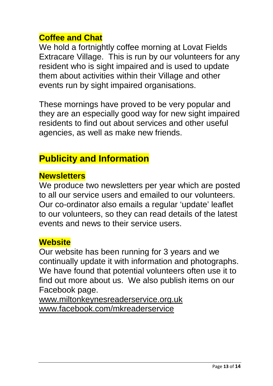#### **Coffee and Chat**

We hold a fortnightly coffee morning at Lovat Fields Extracare Village. This is run by our volunteers for any resident who is sight impaired and is used to update them about activities within their Village and other events run by sight impaired organisations.

These mornings have proved to be very popular and they are an especially good way for new sight impaired residents to find out about services and other useful agencies, as well as make new friends.

## **Publicity and Information**

#### **Newsletters**

We produce two newsletters per year which are posted to all our service users and emailed to our volunteers. Our co-ordinator also emails a regular 'update' leaflet to our volunteers, so they can read details of the latest events and news to their service users.

#### **Website**

Our website has been running for 3 years and we continually update it with information and photographs. We have found that potential volunteers often use it to find out more about us. We also publish items on our Facebook page.

www.miltonkeynesreaderservice.org.uk www.facebook.com/mkreaderservice